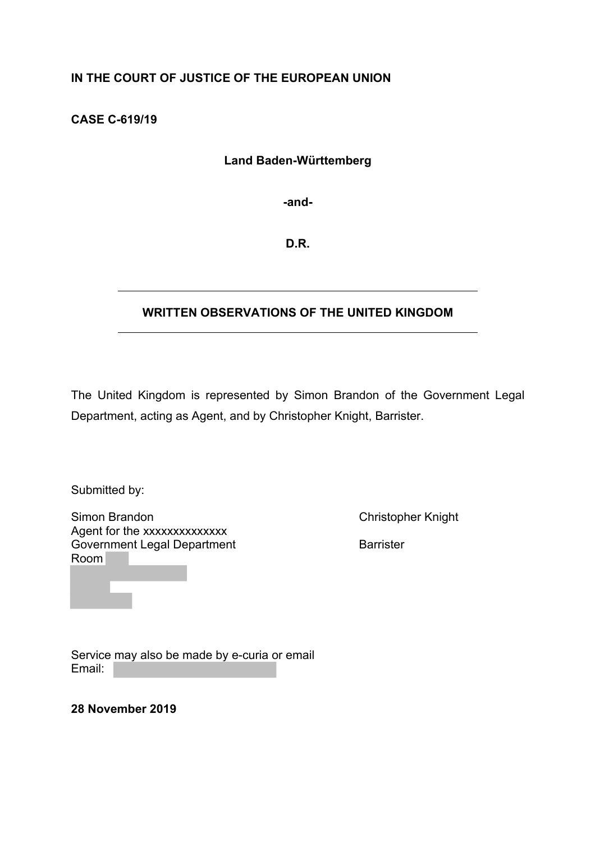# **IN THE COURT OF JUSTICE OF THE EUROPEAN UNION**

**CASE C-619/19** 

# **Land Baden-Württemberg**

**-and-**

**D.R.**

# **WRITTEN OBSERVATIONS OF THE UNITED KINGDOM**

The United Kingdom is represented by Simon Brandon of the Government Legal Department, acting as Agent, and by Christopher Knight, Barrister.

Submitted by:

Simon Brandon **Christopher Knight** Christopher Knight Agent for the xxxxxxxxxxxxxx Government Legal Department **Barrister** Barrister Room

Service may also be made by e-curia or email Email:

**28 November 2019**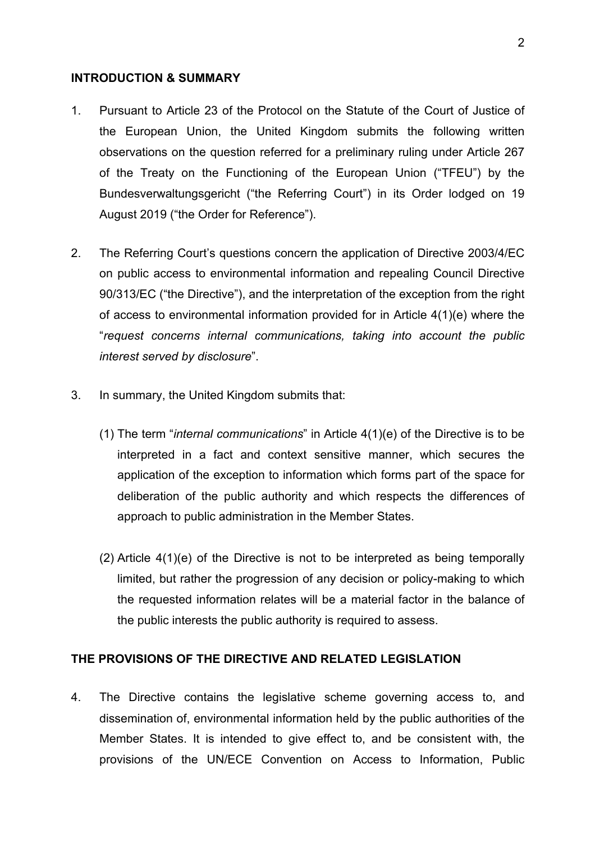#### **INTRODUCTION & SUMMARY**

- 1. Pursuant to Article 23 of the Protocol on the Statute of the Court of Justice of the European Union, the United Kingdom submits the following written observations on the question referred for a preliminary ruling under Article 267 of the Treaty on the Functioning of the European Union ("TFEU") by the Bundesverwaltungsgericht ("the Referring Court") in its Order lodged on 19 August 2019 ("the Order for Reference").
- 2. The Referring Court's questions concern the application of Directive 2003/4/EC on public access to environmental information and repealing Council Directive 90/313/EC ("the Directive"), and the interpretation of the exception from the right of access to environmental information provided for in Article 4(1)(e) where the "*request concerns internal communications, taking into account the public interest served by disclosure*".
- 3. In summary, the United Kingdom submits that:
	- (1) The term "*internal communications*" in Article 4(1)(e) of the Directive is to be interpreted in a fact and context sensitive manner, which secures the application of the exception to information which forms part of the space for deliberation of the public authority and which respects the differences of approach to public administration in the Member States.
	- (2) Article 4(1)(e) of the Directive is not to be interpreted as being temporally limited, but rather the progression of any decision or policy-making to which the requested information relates will be a material factor in the balance of the public interests the public authority is required to assess.

## **THE PROVISIONS OF THE DIRECTIVE AND RELATED LEGISLATION**

4. The Directive contains the legislative scheme governing access to, and dissemination of, environmental information held by the public authorities of the Member States. It is intended to give effect to, and be consistent with, the provisions of the UN/ECE Convention on Access to Information, Public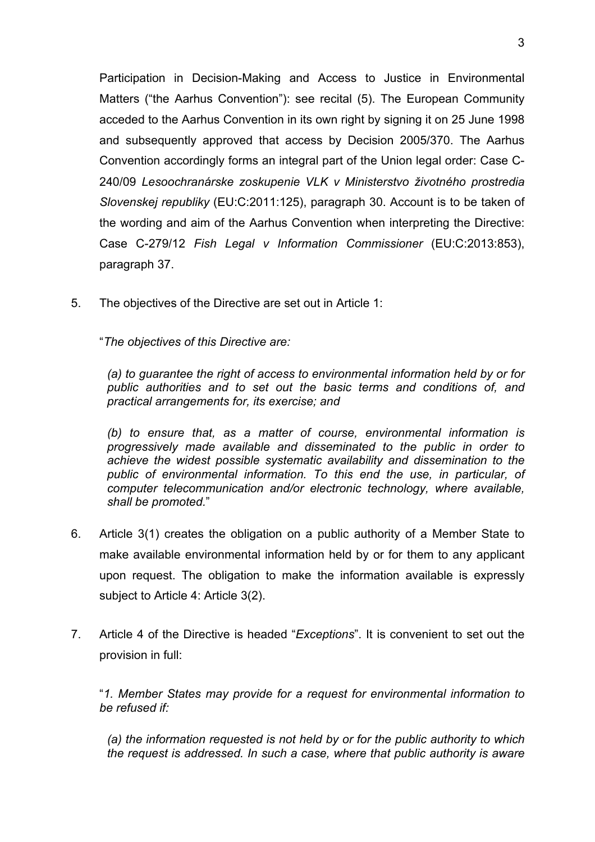Participation in Decision-Making and Access to Justice in Environmental Matters ("the Aarhus Convention"): see recital (5). The European Community acceded to the Aarhus Convention in its own right by signing it on 25 June 1998 and subsequently approved that access by Decision 2005/370. The Aarhus Convention accordingly forms an integral part of the Union legal order: Case C-240/09 *Lesoochranárske zoskupenie VLK v Ministerstvo životného prostredia Slovenskej republiky* (EU:C:2011:125), paragraph 30. Account is to be taken of the wording and aim of the Aarhus Convention when interpreting the Directive: Case C-279/12 *Fish Legal v Information Commissioner* (EU:C:2013:853), paragraph 37.

5. The objectives of the Directive are set out in Article 1:

"*The objectives of this Directive are:*

*(a) to guarantee the right of access to environmental information held by or for public authorities and to set out the basic terms and conditions of, and practical arrangements for, its exercise; and*

*(b) to ensure that, as a matter of course, environmental information is progressively made available and disseminated to the public in order to achieve the widest possible systematic availability and dissemination to the public of environmental information. To this end the use, in particular, of computer telecommunication and/or electronic technology, where available, shall be promoted.*"

- 6. Article 3(1) creates the obligation on a public authority of a Member State to make available environmental information held by or for them to any applicant upon request. The obligation to make the information available is expressly subject to Article 4: Article 3(2).
- 7. Article 4 of the Directive is headed "*Exceptions*". It is convenient to set out the provision in full:

"*1. Member States may provide for a request for environmental information to be refused if:*

*(a) the information requested is not held by or for the public authority to which the request is addressed. In such a case, where that public authority is aware*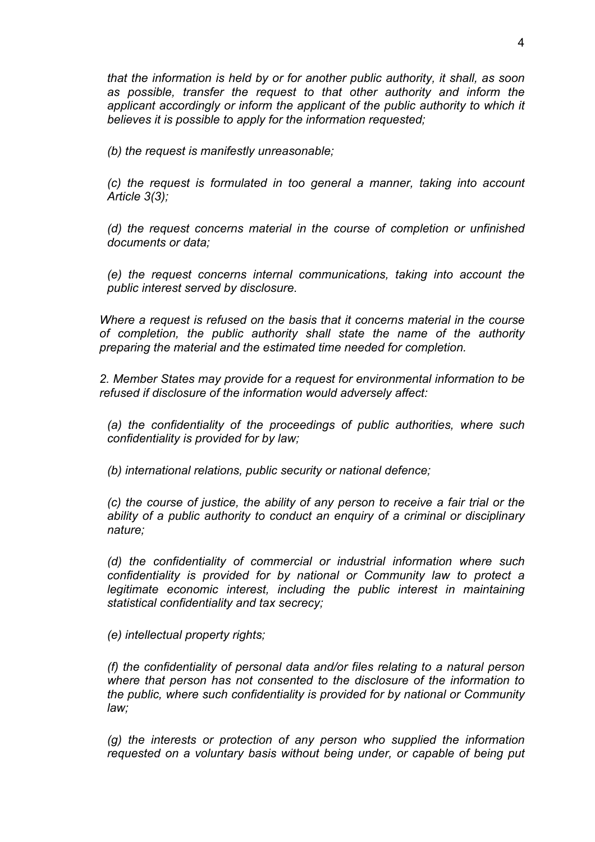*that the information is held by or for another public authority, it shall, as soon as possible, transfer the request to that other authority and inform the*  applicant accordingly or inform the applicant of the public authority to which it *believes it is possible to apply for the information requested;*

*(b) the request is manifestly unreasonable;*

*(c) the request is formulated in too general a manner, taking into account Article 3(3);*

*(d) the request concerns material in the course of completion or unfinished documents or data;*

*(e) the request concerns internal communications, taking into account the public interest served by disclosure.*

*Where a request is refused on the basis that it concerns material in the course of completion, the public authority shall state the name of the authority preparing the material and the estimated time needed for completion.*

*2. Member States may provide for a request for environmental information to be refused if disclosure of the information would adversely affect:*

*(a) the confidentiality of the proceedings of public authorities, where such confidentiality is provided for by law;*

*(b) international relations, public security or national defence;*

*(c) the course of justice, the ability of any person to receive a fair trial or the ability of a public authority to conduct an enquiry of a criminal or disciplinary nature;*

*(d) the confidentiality of commercial or industrial information where such confidentiality is provided for by national or Community law to protect a legitimate economic interest, including the public interest in maintaining statistical confidentiality and tax secrecy;*

*(e) intellectual property rights;*

*(f) the confidentiality of personal data and/or files relating to a natural person where that person has not consented to the disclosure of the information to the public, where such confidentiality is provided for by national or Community law;*

*(g) the interests or protection of any person who supplied the information requested on a voluntary basis without being under, or capable of being put*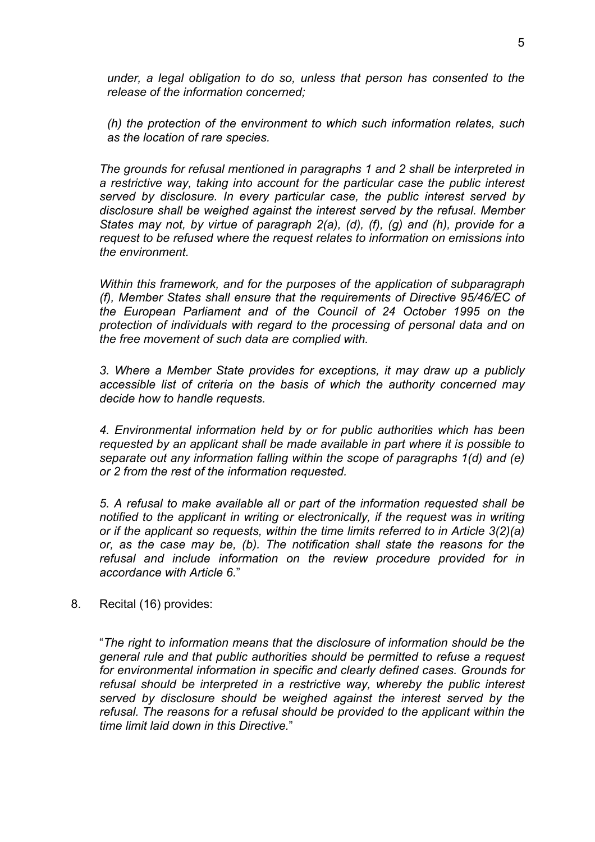*under, a legal obligation to do so, unless that person has consented to the release of the information concerned;*

*(h) the protection of the environment to which such information relates, such as the location of rare species.*

*The grounds for refusal mentioned in paragraphs 1 and 2 shall be interpreted in a restrictive way, taking into account for the particular case the public interest served by disclosure. In every particular case, the public interest served by disclosure shall be weighed against the interest served by the refusal. Member States may not, by virtue of paragraph 2(a), (d), (f), (g) and (h), provide for a request to be refused where the request relates to information on emissions into the environment.*

*Within this framework, and for the purposes of the application of subparagraph (f), Member States shall ensure that the requirements of Directive 95/46/EC of the European Parliament and of the Council of 24 October 1995 on the protection of individuals with regard to the processing of personal data and on the free movement of such data are complied with.*

*3. Where a Member State provides for exceptions, it may draw up a publicly accessible list of criteria on the basis of which the authority concerned may decide how to handle requests.*

*4. Environmental information held by or for public authorities which has been requested by an applicant shall be made available in part where it is possible to separate out any information falling within the scope of paragraphs 1(d) and (e) or 2 from the rest of the information requested.*

*5. A refusal to make available all or part of the information requested shall be notified to the applicant in writing or electronically, if the request was in writing or if the applicant so requests, within the time limits referred to in Article 3(2)(a) or, as the case may be, (b). The notification shall state the reasons for the refusal and include information on the review procedure provided for in accordance with Article 6.*"

8. Recital (16) provides:

"*The right to information means that the disclosure of information should be the general rule and that public authorities should be permitted to refuse a request for environmental information in specific and clearly defined cases. Grounds for refusal should be interpreted in a restrictive way, whereby the public interest served by disclosure should be weighed against the interest served by the refusal. The reasons for a refusal should be provided to the applicant within the time limit laid down in this Directive.*"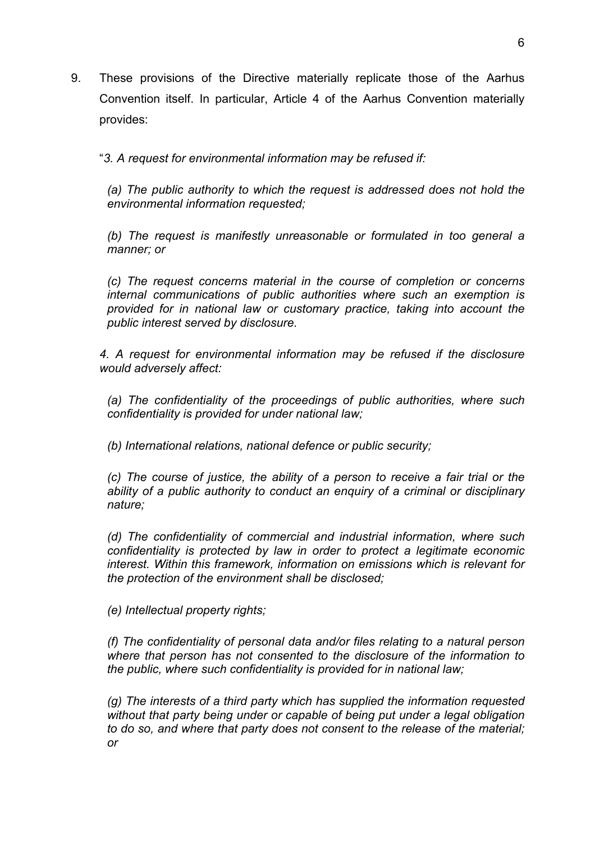9. These provisions of the Directive materially replicate those of the Aarhus Convention itself. In particular, Article 4 of the Aarhus Convention materially provides:

"*3. A request for environmental information may be refused if:*

*(a) The public authority to which the request is addressed does not hold the environmental information requested;*

*(b) The request is manifestly unreasonable or formulated in too general a manner; or*

*(c) The request concerns material in the course of completion or concerns internal communications of public authorities where such an exemption is provided for in national law or customary practice, taking into account the public interest served by disclosure.*

*4. A request for environmental information may be refused if the disclosure would adversely affect:*

*(a) The confidentiality of the proceedings of public authorities, where such confidentiality is provided for under national law;*

*(b) International relations, national defence or public security;*

*(c) The course of justice, the ability of a person to receive a fair trial or the ability of a public authority to conduct an enquiry of a criminal or disciplinary nature;*

*(d) The confidentiality of commercial and industrial information, where such confidentiality is protected by law in order to protect a legitimate economic interest. Within this framework, information on emissions which is relevant for the protection of the environment shall be disclosed;*

*(e) Intellectual property rights;*

*(f) The confidentiality of personal data and/or files relating to a natural person where that person has not consented to the disclosure of the information to the public, where such confidentiality is provided for in national law;*

*(g) The interests of a third party which has supplied the information requested without that party being under or capable of being put under a legal obligation to do so, and where that party does not consent to the release of the material; or*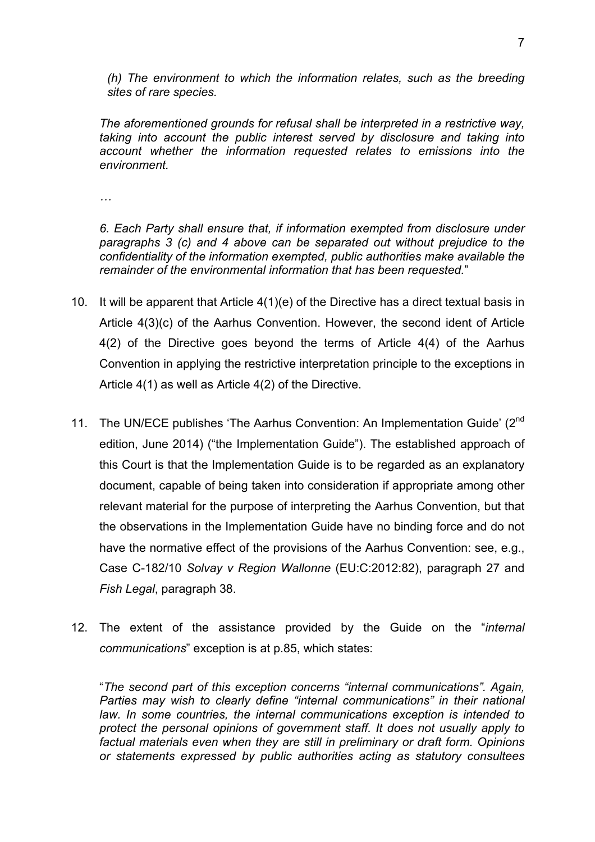*(h) The environment to which the information relates, such as the breeding sites of rare species.*

*The aforementioned grounds for refusal shall be interpreted in a restrictive way, taking into account the public interest served by disclosure and taking into account whether the information requested relates to emissions into the environment.*

*…*

*6. Each Party shall ensure that, if information exempted from disclosure under paragraphs 3 (c) and 4 above can be separated out without prejudice to the confidentiality of the information exempted, public authorities make available the remainder of the environmental information that has been requested.*"

- 10. It will be apparent that Article 4(1)(e) of the Directive has a direct textual basis in Article 4(3)(c) of the Aarhus Convention. However, the second ident of Article 4(2) of the Directive goes beyond the terms of Article 4(4) of the Aarhus Convention in applying the restrictive interpretation principle to the exceptions in Article 4(1) as well as Article 4(2) of the Directive.
- 11. The UN/ECE publishes 'The Aarhus Convention: An Implementation Guide' (2<sup>nd</sup>) edition, June 2014) ("the Implementation Guide"). The established approach of this Court is that the Implementation Guide is to be regarded as an explanatory document, capable of being taken into consideration if appropriate among other relevant material for the purpose of interpreting the Aarhus Convention, but that the observations in the Implementation Guide have no binding force and do not have the normative effect of the provisions of the Aarhus Convention: see, e.g., Case C-182/10 *Solvay v Region Wallonne* (EU:C:2012:82), paragraph 27 and *Fish Legal*, paragraph 38.
- 12. The extent of the assistance provided by the Guide on the "*internal communications*" exception is at p.85, which states:

"*The second part of this exception concerns "internal communications". Again, Parties may wish to clearly define "internal communications" in their national law. In some countries, the internal communications exception is intended to protect the personal opinions of government staff. It does not usually apply to factual materials even when they are still in preliminary or draft form. Opinions or statements expressed by public authorities acting as statutory consultees*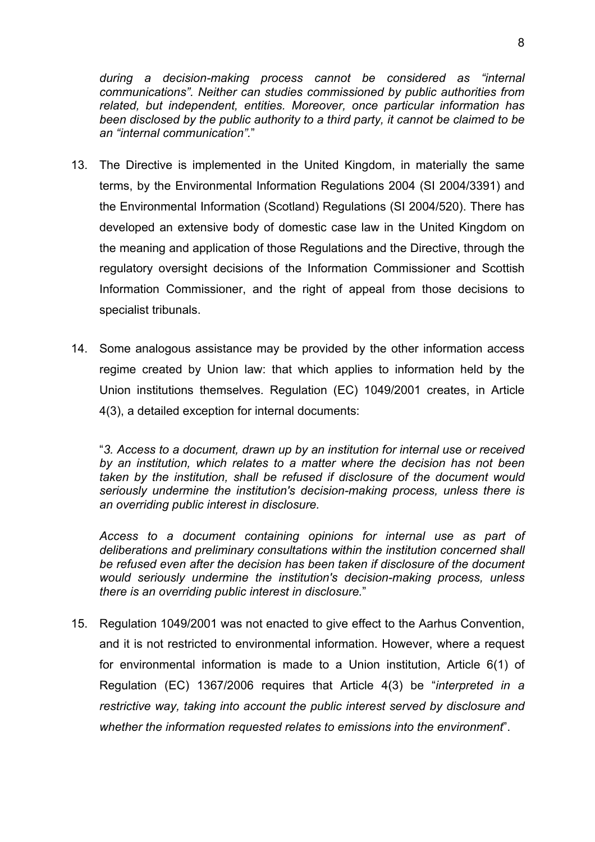*during a decision-making process cannot be considered as "internal communications". Neither can studies commissioned by public authorities from related, but independent, entities. Moreover, once particular information has been disclosed by the public authority to a third party, it cannot be claimed to be an "internal communication".*"

- 13. The Directive is implemented in the United Kingdom, in materially the same terms, by the Environmental Information Regulations 2004 (SI 2004/3391) and the Environmental Information (Scotland) Regulations (SI 2004/520). There has developed an extensive body of domestic case law in the United Kingdom on the meaning and application of those Regulations and the Directive, through the regulatory oversight decisions of the Information Commissioner and Scottish Information Commissioner, and the right of appeal from those decisions to specialist tribunals.
- 14. Some analogous assistance may be provided by the other information access regime created by Union law: that which applies to information held by the Union institutions themselves. Regulation (EC) 1049/2001 creates, in Article 4(3), a detailed exception for internal documents:

"*3. Access to a document, drawn up by an institution for internal use or received by an institution, which relates to a matter where the decision has not been taken by the institution, shall be refused if disclosure of the document would seriously undermine the institution's decision-making process, unless there is an overriding public interest in disclosure.*

*Access to a document containing opinions for internal use as part of deliberations and preliminary consultations within the institution concerned shall be refused even after the decision has been taken if disclosure of the document would seriously undermine the institution's decision-making process, unless there is an overriding public interest in disclosure.*"

15. Regulation 1049/2001 was not enacted to give effect to the Aarhus Convention, and it is not restricted to environmental information. However, where a request for environmental information is made to a Union institution, Article 6(1) of Regulation (EC) 1367/2006 requires that Article 4(3) be "*interpreted in a restrictive way, taking into account the public interest served by disclosure and whether the information requested relates to emissions into the environment*".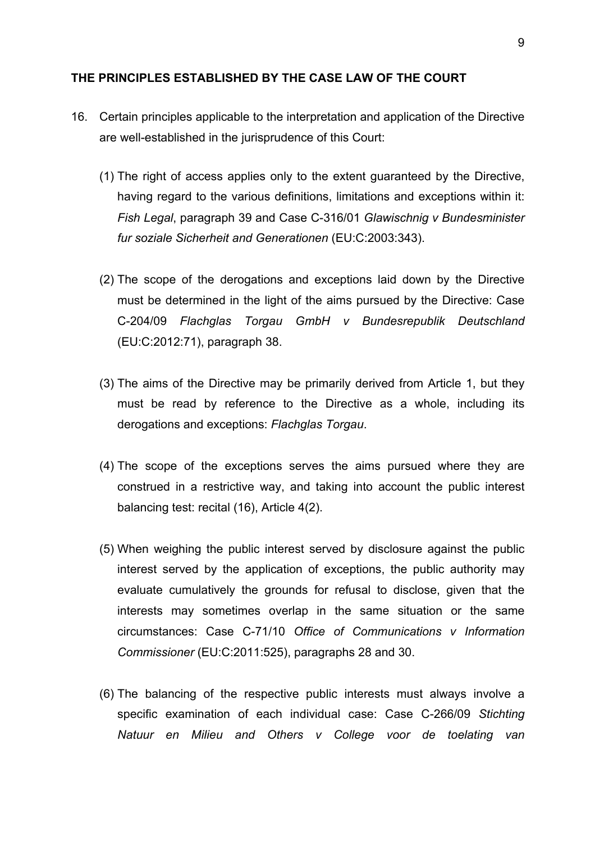#### **THE PRINCIPLES ESTABLISHED BY THE CASE LAW OF THE COURT**

- 16. Certain principles applicable to the interpretation and application of the Directive are well-established in the jurisprudence of this Court:
	- (1) The right of access applies only to the extent guaranteed by the Directive, having regard to the various definitions, limitations and exceptions within it: *Fish Legal*, paragraph 39 and Case C-316/01 *Glawischnig v Bundesminister fur soziale Sicherheit and Generationen* (EU:C:2003:343).
	- (2) The scope of the derogations and exceptions laid down by the Directive must be determined in the light of the aims pursued by the Directive: Case C-204/09 *Flachglas Torgau GmbH v Bundesrepublik Deutschland* (EU:C:2012:71), paragraph 38.
	- (3) The aims of the Directive may be primarily derived from Article 1, but they must be read by reference to the Directive as a whole, including its derogations and exceptions: *Flachglas Torgau*.
	- (4) The scope of the exceptions serves the aims pursued where they are construed in a restrictive way, and taking into account the public interest balancing test: recital (16), Article 4(2).
	- (5) When weighing the public interest served by disclosure against the public interest served by the application of exceptions, the public authority may evaluate cumulatively the grounds for refusal to disclose, given that the interests may sometimes overlap in the same situation or the same circumstances: Case C-71/10 *Office of Communications v Information Commissioner* (EU:C:2011:525), paragraphs 28 and 30.
	- (6) The balancing of the respective public interests must always involve a specific examination of each individual case: Case C-266/09 *Stichting Natuur en Milieu and Others v College voor de toelating van*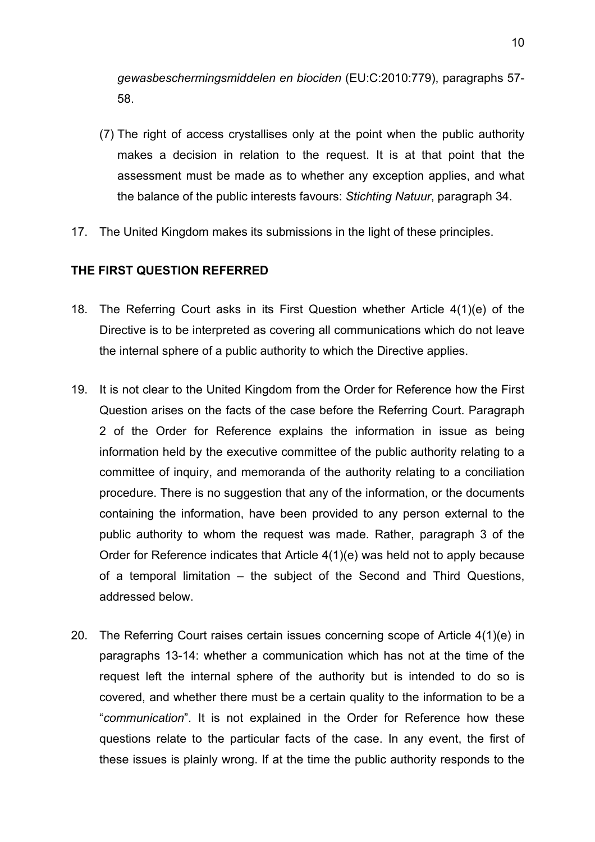*gewasbeschermingsmiddelen en biociden* (EU:C:2010:779), paragraphs 57- 58.

- (7) The right of access crystallises only at the point when the public authority makes a decision in relation to the request. It is at that point that the assessment must be made as to whether any exception applies, and what the balance of the public interests favours: *Stichting Natuur*, paragraph 34.
- 17. The United Kingdom makes its submissions in the light of these principles.

## **THE FIRST QUESTION REFERRED**

- 18. The Referring Court asks in its First Question whether Article 4(1)(e) of the Directive is to be interpreted as covering all communications which do not leave the internal sphere of a public authority to which the Directive applies.
- 19. It is not clear to the United Kingdom from the Order for Reference how the First Question arises on the facts of the case before the Referring Court. Paragraph 2 of the Order for Reference explains the information in issue as being information held by the executive committee of the public authority relating to a committee of inquiry, and memoranda of the authority relating to a conciliation procedure. There is no suggestion that any of the information, or the documents containing the information, have been provided to any person external to the public authority to whom the request was made. Rather, paragraph 3 of the Order for Reference indicates that Article 4(1)(e) was held not to apply because of a temporal limitation – the subject of the Second and Third Questions, addressed below.
- 20. The Referring Court raises certain issues concerning scope of Article 4(1)(e) in paragraphs 13-14: whether a communication which has not at the time of the request left the internal sphere of the authority but is intended to do so is covered, and whether there must be a certain quality to the information to be a "*communication*". It is not explained in the Order for Reference how these questions relate to the particular facts of the case. In any event, the first of these issues is plainly wrong. If at the time the public authority responds to the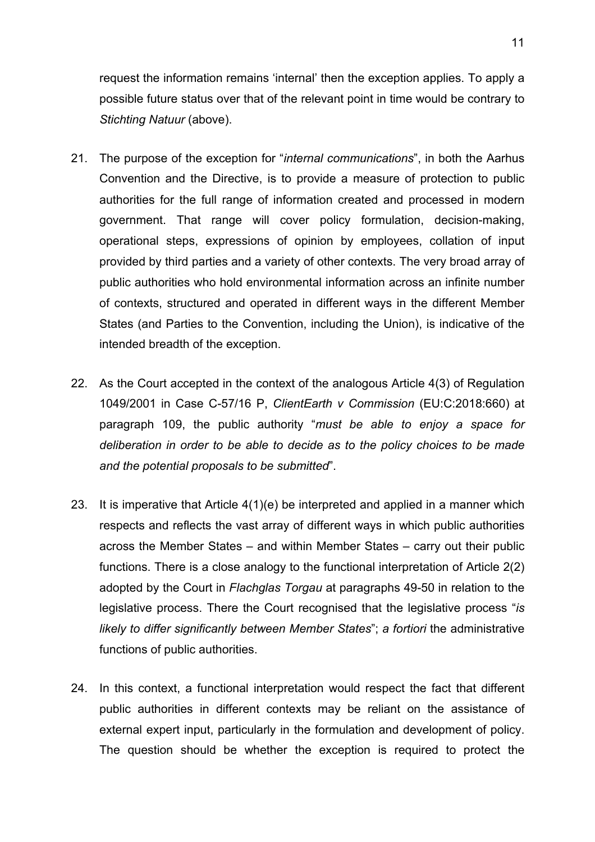request the information remains 'internal' then the exception applies. To apply a possible future status over that of the relevant point in time would be contrary to *Stichting Natuur* (above).

- 21. The purpose of the exception for "*internal communications*", in both the Aarhus Convention and the Directive, is to provide a measure of protection to public authorities for the full range of information created and processed in modern government. That range will cover policy formulation, decision-making, operational steps, expressions of opinion by employees, collation of input provided by third parties and a variety of other contexts. The very broad array of public authorities who hold environmental information across an infinite number of contexts, structured and operated in different ways in the different Member States (and Parties to the Convention, including the Union), is indicative of the intended breadth of the exception.
- 22. As the Court accepted in the context of the analogous Article 4(3) of Regulation 1049/2001 in Case C-57/16 P, *ClientEarth v Commission* (EU:C:2018:660) at paragraph 109, the public authority "*must be able to enjoy a space for deliberation in order to be able to decide as to the policy choices to be made and the potential proposals to be submitted*".
- 23. It is imperative that Article 4(1)(e) be interpreted and applied in a manner which respects and reflects the vast array of different ways in which public authorities across the Member States – and within Member States – carry out their public functions. There is a close analogy to the functional interpretation of Article 2(2) adopted by the Court in *Flachglas Torgau* at paragraphs 49-50 in relation to the legislative process. There the Court recognised that the legislative process "*is likely to differ significantly between Member States*"; *a fortiori* the administrative functions of public authorities.
- 24. In this context, a functional interpretation would respect the fact that different public authorities in different contexts may be reliant on the assistance of external expert input, particularly in the formulation and development of policy. The question should be whether the exception is required to protect the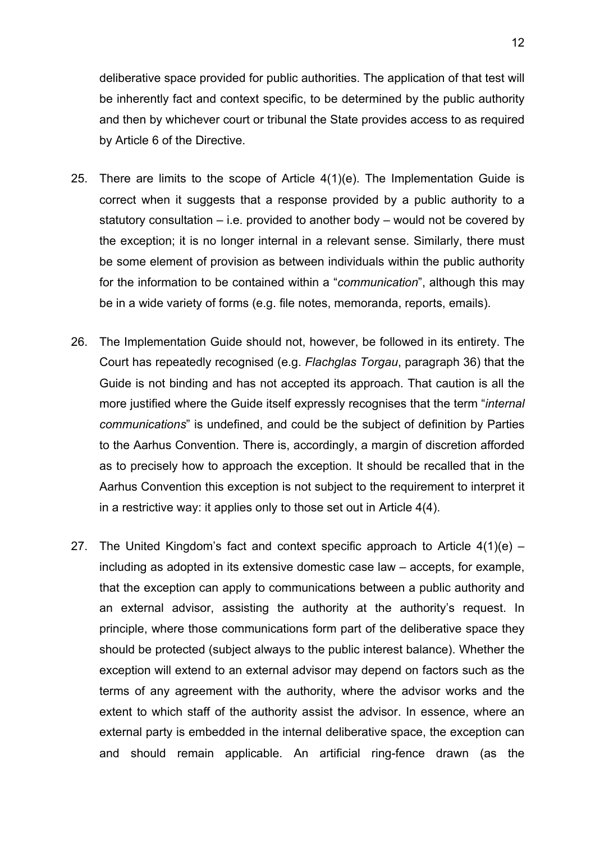deliberative space provided for public authorities. The application of that test will be inherently fact and context specific, to be determined by the public authority and then by whichever court or tribunal the State provides access to as required by Article 6 of the Directive.

- 25. There are limits to the scope of Article 4(1)(e). The Implementation Guide is correct when it suggests that a response provided by a public authority to a statutory consultation  $-$  i.e. provided to another body  $-$  would not be covered by the exception; it is no longer internal in a relevant sense. Similarly, there must be some element of provision as between individuals within the public authority for the information to be contained within a "*communication*", although this may be in a wide variety of forms (e.g. file notes, memoranda, reports, emails).
- 26. The Implementation Guide should not, however, be followed in its entirety. The Court has repeatedly recognised (e.g. *Flachglas Torgau*, paragraph 36) that the Guide is not binding and has not accepted its approach. That caution is all the more justified where the Guide itself expressly recognises that the term "*internal communications*" is undefined, and could be the subject of definition by Parties to the Aarhus Convention. There is, accordingly, a margin of discretion afforded as to precisely how to approach the exception. It should be recalled that in the Aarhus Convention this exception is not subject to the requirement to interpret it in a restrictive way: it applies only to those set out in Article 4(4).
- 27. The United Kingdom's fact and context specific approach to Article  $4(1)(e)$  including as adopted in its extensive domestic case law – accepts, for example, that the exception can apply to communications between a public authority and an external advisor, assisting the authority at the authority's request. In principle, where those communications form part of the deliberative space they should be protected (subject always to the public interest balance). Whether the exception will extend to an external advisor may depend on factors such as the terms of any agreement with the authority, where the advisor works and the extent to which staff of the authority assist the advisor. In essence, where an external party is embedded in the internal deliberative space, the exception can and should remain applicable. An artificial ring-fence drawn (as the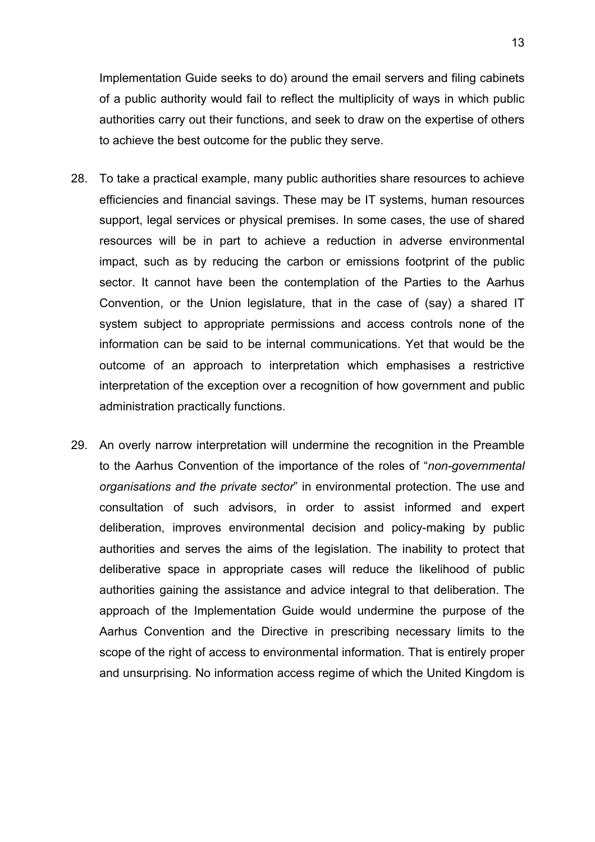Implementation Guide seeks to do) around the email servers and filing cabinets of a public authority would fail to reflect the multiplicity of ways in which public authorities carry out their functions, and seek to draw on the expertise of others to achieve the best outcome for the public they serve.

- 28. To take a practical example, many public authorities share resources to achieve efficiencies and financial savings. These may be IT systems, human resources support, legal services or physical premises. In some cases, the use of shared resources will be in part to achieve a reduction in adverse environmental impact, such as by reducing the carbon or emissions footprint of the public sector. It cannot have been the contemplation of the Parties to the Aarhus Convention, or the Union legislature, that in the case of (say) a shared IT system subject to appropriate permissions and access controls none of the information can be said to be internal communications. Yet that would be the outcome of an approach to interpretation which emphasises a restrictive interpretation of the exception over a recognition of how government and public administration practically functions.
- 29. An overly narrow interpretation will undermine the recognition in the Preamble to the Aarhus Convention of the importance of the roles of "*non-governmental organisations and the private sector*" in environmental protection. The use and consultation of such advisors, in order to assist informed and expert deliberation, improves environmental decision and policy-making by public authorities and serves the aims of the legislation. The inability to protect that deliberative space in appropriate cases will reduce the likelihood of public authorities gaining the assistance and advice integral to that deliberation. The approach of the Implementation Guide would undermine the purpose of the Aarhus Convention and the Directive in prescribing necessary limits to the scope of the right of access to environmental information. That is entirely proper and unsurprising. No information access regime of which the United Kingdom is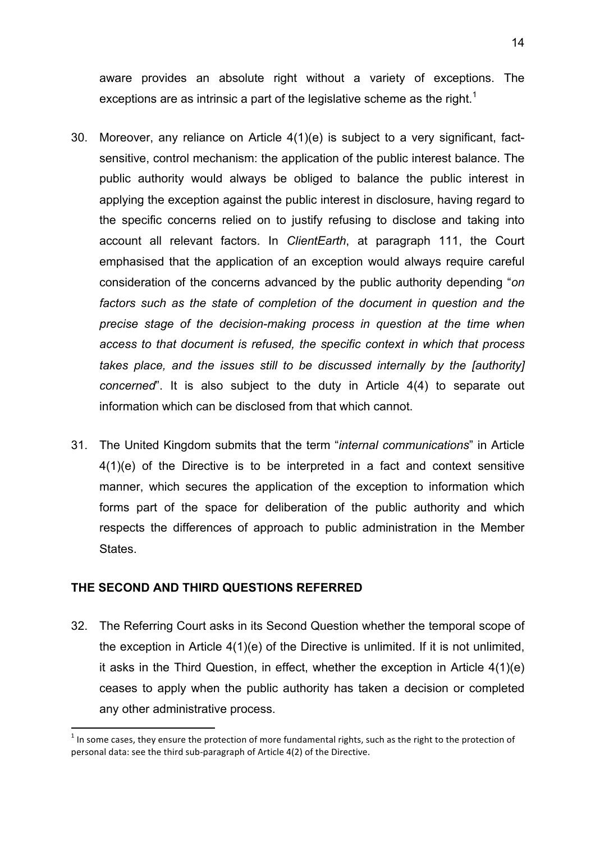aware provides an absolute right without a variety of exceptions. The exceptions are as intrinsic a part of the legislative scheme as the right.<sup>1</sup>

- 30. Moreover, any reliance on Article 4(1)(e) is subject to a very significant, factsensitive, control mechanism: the application of the public interest balance. The public authority would always be obliged to balance the public interest in applying the exception against the public interest in disclosure, having regard to the specific concerns relied on to justify refusing to disclose and taking into account all relevant factors. In *ClientEarth*, at paragraph 111, the Court emphasised that the application of an exception would always require careful consideration of the concerns advanced by the public authority depending "*on factors such as the state of completion of the document in question and the precise stage of the decision-making process in question at the time when access to that document is refused, the specific context in which that process takes place, and the issues still to be discussed internally by the [authority] concerned*". It is also subject to the duty in Article 4(4) to separate out information which can be disclosed from that which cannot.
- 31. The United Kingdom submits that the term "*internal communications*" in Article 4(1)(e) of the Directive is to be interpreted in a fact and context sensitive manner, which secures the application of the exception to information which forms part of the space for deliberation of the public authority and which respects the differences of approach to public administration in the Member States.

## **THE SECOND AND THIRD QUESTIONS REFERRED**

<u> 1989 - Jan Samuel Barbara, político establecido de la provincia de la provincia de la provincia de la provinci</u>

32. The Referring Court asks in its Second Question whether the temporal scope of the exception in Article 4(1)(e) of the Directive is unlimited. If it is not unlimited, it asks in the Third Question, in effect, whether the exception in Article 4(1)(e) ceases to apply when the public authority has taken a decision or completed any other administrative process.

<sup>&</sup>lt;sup>1</sup> In some cases, they ensure the protection of more fundamental rights, such as the right to the protection of personal data: see the third sub-paragraph of Article 4(2) of the Directive.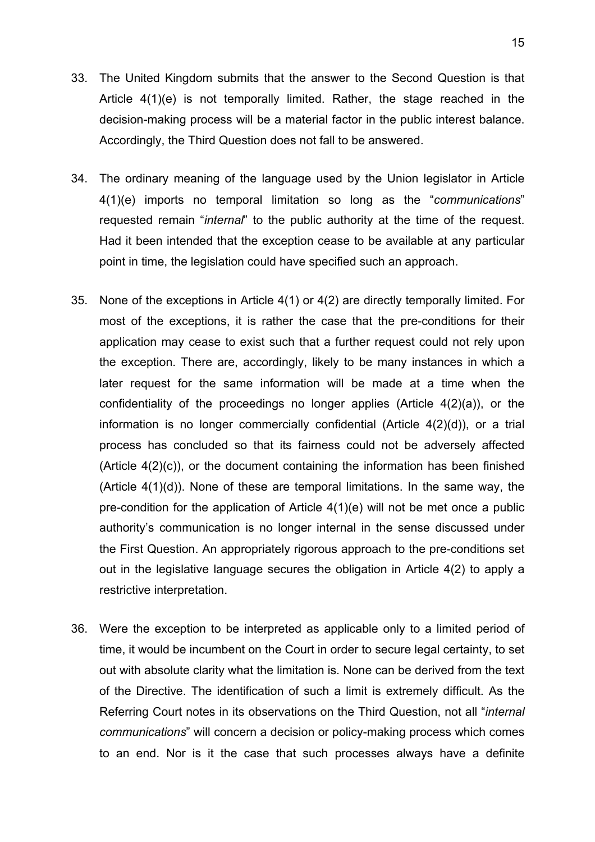- 33. The United Kingdom submits that the answer to the Second Question is that Article 4(1)(e) is not temporally limited. Rather, the stage reached in the decision-making process will be a material factor in the public interest balance. Accordingly, the Third Question does not fall to be answered.
- 34. The ordinary meaning of the language used by the Union legislator in Article 4(1)(e) imports no temporal limitation so long as the "*communications*" requested remain "*internal*" to the public authority at the time of the request. Had it been intended that the exception cease to be available at any particular point in time, the legislation could have specified such an approach.
- 35. None of the exceptions in Article 4(1) or 4(2) are directly temporally limited. For most of the exceptions, it is rather the case that the pre-conditions for their application may cease to exist such that a further request could not rely upon the exception. There are, accordingly, likely to be many instances in which a later request for the same information will be made at a time when the confidentiality of the proceedings no longer applies (Article 4(2)(a)), or the information is no longer commercially confidential (Article 4(2)(d)), or a trial process has concluded so that its fairness could not be adversely affected (Article 4(2)(c)), or the document containing the information has been finished (Article 4(1)(d)). None of these are temporal limitations. In the same way, the pre-condition for the application of Article 4(1)(e) will not be met once a public authority's communication is no longer internal in the sense discussed under the First Question. An appropriately rigorous approach to the pre-conditions set out in the legislative language secures the obligation in Article 4(2) to apply a restrictive interpretation.
- 36. Were the exception to be interpreted as applicable only to a limited period of time, it would be incumbent on the Court in order to secure legal certainty, to set out with absolute clarity what the limitation is. None can be derived from the text of the Directive. The identification of such a limit is extremely difficult. As the Referring Court notes in its observations on the Third Question, not all "*internal communications*" will concern a decision or policy-making process which comes to an end. Nor is it the case that such processes always have a definite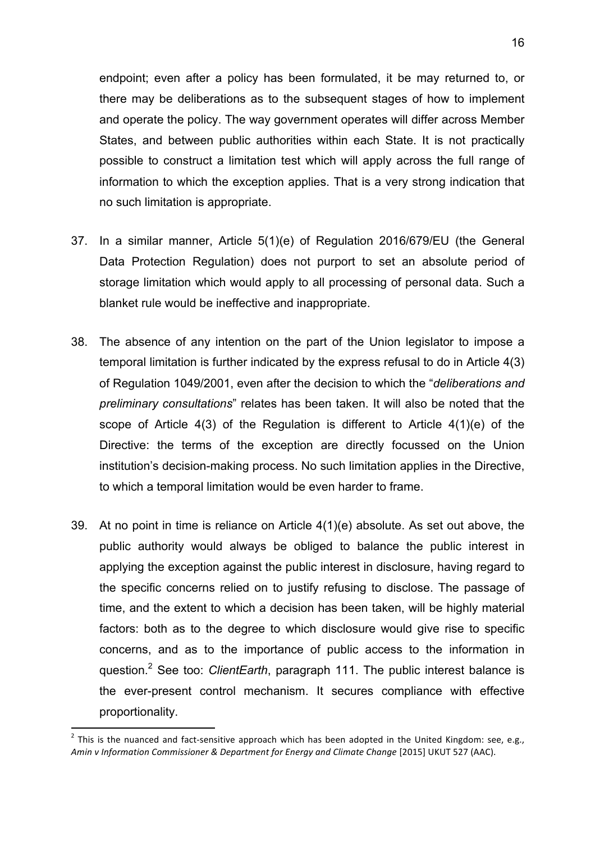endpoint; even after a policy has been formulated, it be may returned to, or there may be deliberations as to the subsequent stages of how to implement and operate the policy. The way government operates will differ across Member States, and between public authorities within each State. It is not practically possible to construct a limitation test which will apply across the full range of information to which the exception applies. That is a very strong indication that no such limitation is appropriate.

- 37. In a similar manner, Article 5(1)(e) of Regulation 2016/679/EU (the General Data Protection Regulation) does not purport to set an absolute period of storage limitation which would apply to all processing of personal data. Such a blanket rule would be ineffective and inappropriate.
- 38. The absence of any intention on the part of the Union legislator to impose a temporal limitation is further indicated by the express refusal to do in Article 4(3) of Regulation 1049/2001, even after the decision to which the "*deliberations and preliminary consultations*" relates has been taken. It will also be noted that the scope of Article 4(3) of the Regulation is different to Article 4(1)(e) of the Directive: the terms of the exception are directly focussed on the Union institution's decision-making process. No such limitation applies in the Directive, to which a temporal limitation would be even harder to frame.
- 39. At no point in time is reliance on Article 4(1)(e) absolute. As set out above, the public authority would always be obliged to balance the public interest in applying the exception against the public interest in disclosure, having regard to the specific concerns relied on to justify refusing to disclose. The passage of time, and the extent to which a decision has been taken, will be highly material factors: both as to the degree to which disclosure would give rise to specific concerns, and as to the importance of public access to the information in question.2 See too: *ClientEarth*, paragraph 111. The public interest balance is the ever-present control mechanism. It secures compliance with effective proportionality.

<u> 1989 - Jan Samuel Barbara, político establecido de la provincia de la provincia de la provincia de la provinci</u>

<sup>&</sup>lt;sup>2</sup> This is the nuanced and fact-sensitive approach which has been adopted in the United Kingdom: see, e.g., Amin v Information Commissioner & Department for Energy and Climate Change [2015] UKUT 527 (AAC).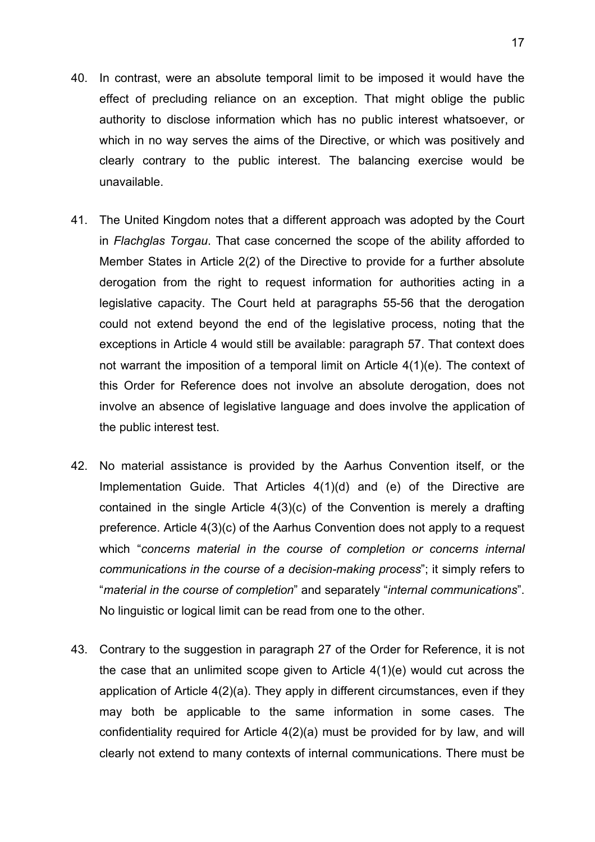- 40. In contrast, were an absolute temporal limit to be imposed it would have the effect of precluding reliance on an exception. That might oblige the public authority to disclose information which has no public interest whatsoever, or which in no way serves the aims of the Directive, or which was positively and clearly contrary to the public interest. The balancing exercise would be unavailable.
- 41. The United Kingdom notes that a different approach was adopted by the Court in *Flachglas Torgau*. That case concerned the scope of the ability afforded to Member States in Article 2(2) of the Directive to provide for a further absolute derogation from the right to request information for authorities acting in a legislative capacity. The Court held at paragraphs 55-56 that the derogation could not extend beyond the end of the legislative process, noting that the exceptions in Article 4 would still be available: paragraph 57. That context does not warrant the imposition of a temporal limit on Article 4(1)(e). The context of this Order for Reference does not involve an absolute derogation, does not involve an absence of legislative language and does involve the application of the public interest test.
- 42. No material assistance is provided by the Aarhus Convention itself, or the Implementation Guide. That Articles 4(1)(d) and (e) of the Directive are contained in the single Article 4(3)(c) of the Convention is merely a drafting preference. Article 4(3)(c) of the Aarhus Convention does not apply to a request which "*concerns material in the course of completion or concerns internal communications in the course of a decision-making process*"; it simply refers to "*material in the course of completion*" and separately "*internal communications*". No linguistic or logical limit can be read from one to the other.
- 43. Contrary to the suggestion in paragraph 27 of the Order for Reference, it is not the case that an unlimited scope given to Article 4(1)(e) would cut across the application of Article 4(2)(a). They apply in different circumstances, even if they may both be applicable to the same information in some cases. The confidentiality required for Article 4(2)(a) must be provided for by law, and will clearly not extend to many contexts of internal communications. There must be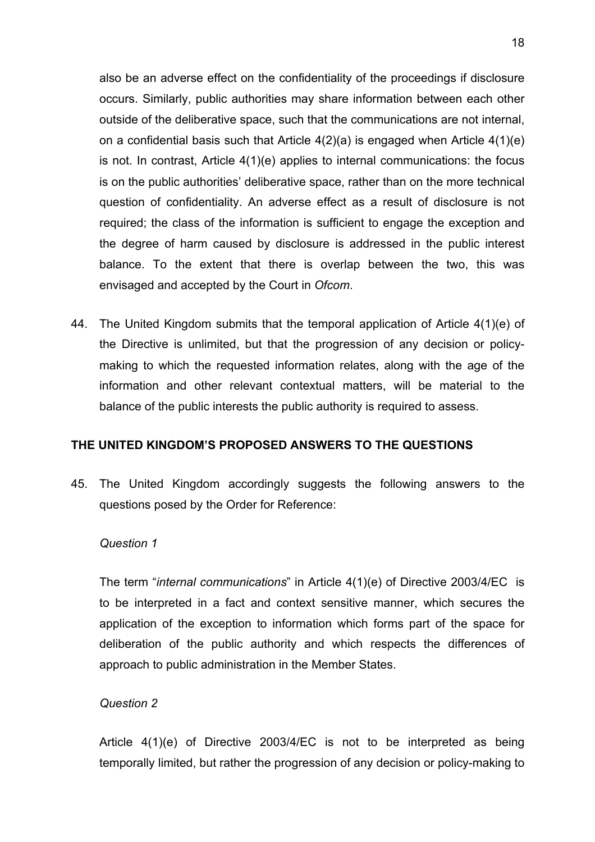also be an adverse effect on the confidentiality of the proceedings if disclosure occurs. Similarly, public authorities may share information between each other outside of the deliberative space, such that the communications are not internal, on a confidential basis such that Article 4(2)(a) is engaged when Article 4(1)(e) is not. In contrast, Article 4(1)(e) applies to internal communications: the focus is on the public authorities' deliberative space, rather than on the more technical question of confidentiality. An adverse effect as a result of disclosure is not required; the class of the information is sufficient to engage the exception and the degree of harm caused by disclosure is addressed in the public interest balance. To the extent that there is overlap between the two, this was envisaged and accepted by the Court in *Ofcom*.

44. The United Kingdom submits that the temporal application of Article 4(1)(e) of the Directive is unlimited, but that the progression of any decision or policymaking to which the requested information relates, along with the age of the information and other relevant contextual matters, will be material to the balance of the public interests the public authority is required to assess.

# **THE UNITED KINGDOM'S PROPOSED ANSWERS TO THE QUESTIONS**

45. The United Kingdom accordingly suggests the following answers to the questions posed by the Order for Reference:

## *Question 1*

The term "*internal communications*" in Article 4(1)(e) of Directive 2003/4/EC is to be interpreted in a fact and context sensitive manner, which secures the application of the exception to information which forms part of the space for deliberation of the public authority and which respects the differences of approach to public administration in the Member States.

## *Question 2*

Article 4(1)(e) of Directive 2003/4/EC is not to be interpreted as being temporally limited, but rather the progression of any decision or policy-making to